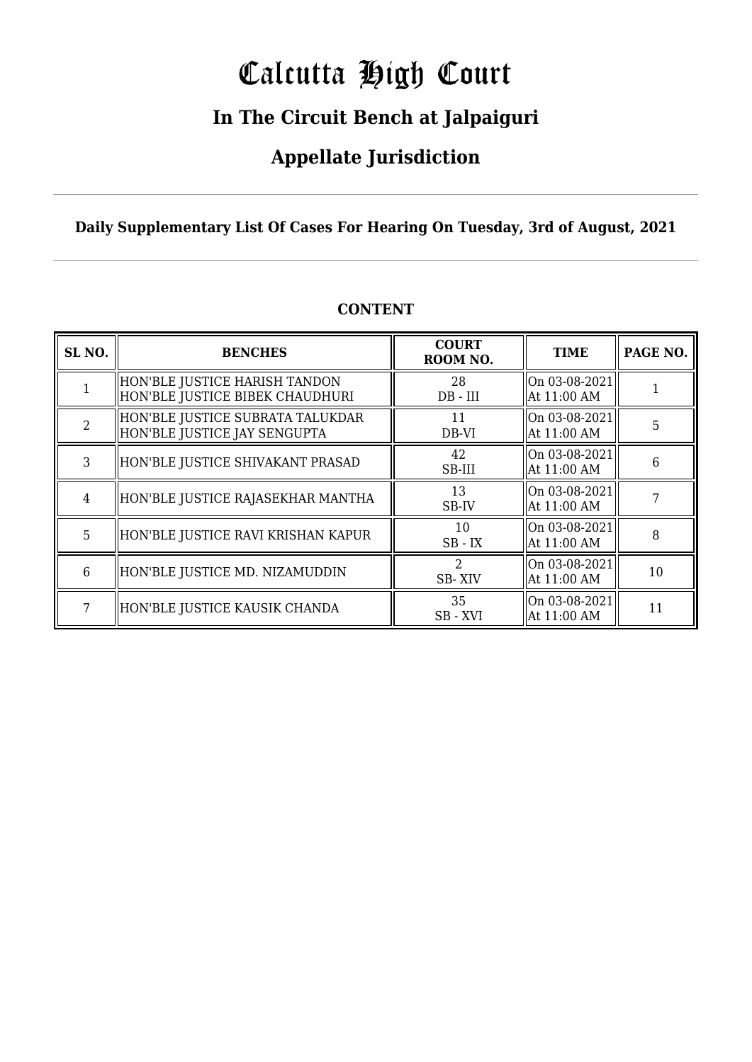# Calcutta High Court

### **In The Circuit Bench at Jalpaiguri**

### **Appellate Jurisdiction**

**Daily Supplementary List Of Cases For Hearing On Tuesday, 3rd of August, 2021**

| SL <sub>NO.</sub> | <b>BENCHES</b>                                                     | <b>COURT</b><br>ROOM NO. | <b>TIME</b>                                          | PAGE NO. |
|-------------------|--------------------------------------------------------------------|--------------------------|------------------------------------------------------|----------|
|                   | HON'BLE JUSTICE HARISH TANDON<br>  HON'BLE JUSTICE BIBEK CHAUDHURI | 28<br>$DB - III$         | $\vert$ On 03-08-2021 $\vert$<br>At 11:00 AM         |          |
| $\mathcal{D}$     | HON'BLE JUSTICE SUBRATA TALUKDAR<br>  HON'BLE JUSTICE JAY SENGUPTA | 11<br>DB-VI              | $\vert$ On 03-08-2021 $\vert$<br>At 11:00 AM         | 5        |
| 3                 | HON'BLE JUSTICE SHIVAKANT PRASAD                                   | 42<br>SB-III             | $ On 03-08-2021 $<br>At 11:00 AM                     | 6        |
| $\overline{4}$    | HON'BLE JUSTICE RAJASEKHAR MANTHA                                  | 13<br>SB-IV              | $\vert$ On 03-08-2021 $\vert$<br>At 11:00 AM         |          |
| 5                 | HON'BLE JUSTICE RAVI KRISHAN KAPUR                                 | 10<br>$SB$ - $IX$        | $\vert$ On 03-08-2021 $\vert$<br>$\vert$ At 11:00 AM | 8        |
| 6                 | HON'BLE JUSTICE MD. NIZAMUDDIN                                     | SB-XIV                   | $ On 03-08-2021 $<br>At 11:00 AM                     | 10       |
| 7                 | HON'BLE JUSTICE KAUSIK CHANDA                                      | 35<br>SB - XVI           | On 03-08-2021<br>At 11:00 AM                         | 11       |

#### **CONTENT**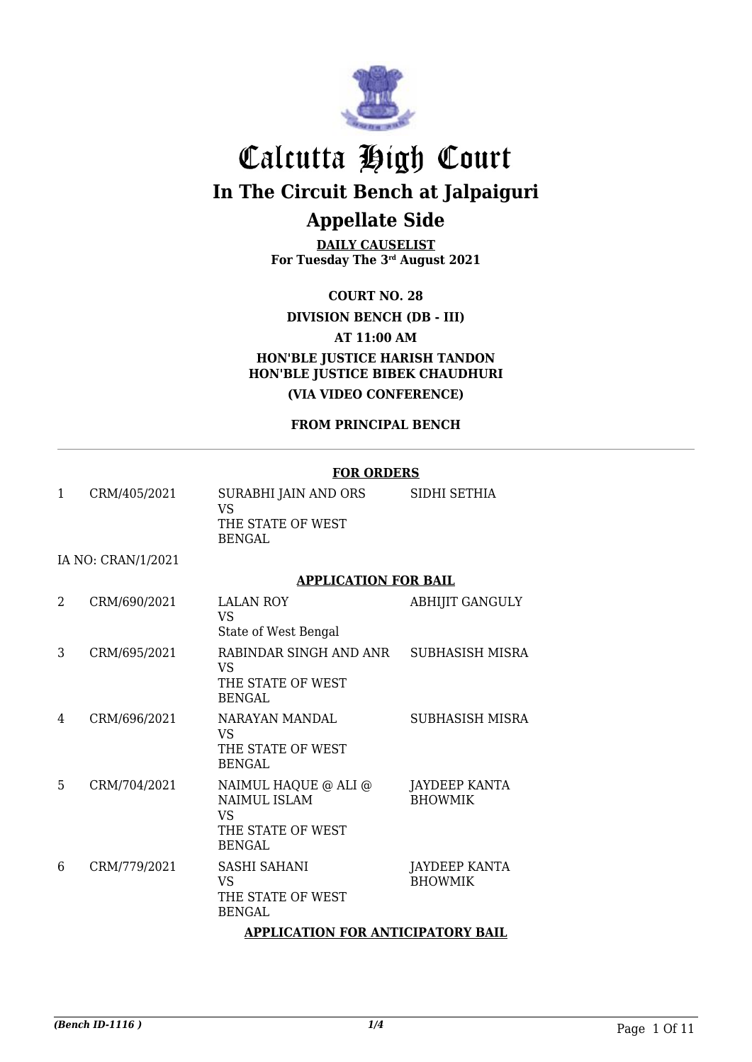

**DAILY CAUSELIST For Tuesday The 3rd August 2021**

**COURT NO. 28**

#### **DIVISION BENCH (DB - III)**

**AT 11:00 AM**

**HON'BLE JUSTICE HARISH TANDON HON'BLE JUSTICE BIBEK CHAUDHURI (VIA VIDEO CONFERENCE)**

**FROM PRINCIPAL BENCH**

#### **FOR ORDERS**

| 1 | CRM/405/2021       | SURABHI JAIN AND ORS<br>VS                  | SIDHI SETHIA                           |
|---|--------------------|---------------------------------------------|----------------------------------------|
|   |                    | THE STATE OF WEST<br><b>BENGAL</b>          |                                        |
|   | IA NO: CRAN/1/2021 |                                             |                                        |
|   |                    | <b>APPLICATION FOR BAIL</b>                 |                                        |
| 2 | CRM/690/2021       | <b>LALAN ROY</b><br><b>VS</b>               | <b>ABHIJIT GANGULY</b>                 |
|   |                    | State of West Bengal                        |                                        |
| 3 | CRM/695/2021       | RABINDAR SINGH AND ANR<br><b>VS</b>         | SUBHASISH MISRA                        |
|   |                    | THE STATE OF WEST<br><b>BENGAL</b>          |                                        |
| 4 | CRM/696/2021       | NARAYAN MANDAL<br><b>VS</b>                 | <b>SUBHASISH MISRA</b>                 |
|   |                    | THE STATE OF WEST<br><b>BENGAL</b>          |                                        |
| 5 | CRM/704/2021       | NAIMUL HAQUE @ ALI @<br><b>NAIMUL ISLAM</b> | <b>JAYDEEP KANTA</b><br><b>BHOWMIK</b> |
|   |                    | <b>VS</b>                                   |                                        |
|   |                    | THE STATE OF WEST<br><b>BENGAL</b>          |                                        |
| 6 | CRM/779/2021       | <b>SASHI SAHANI</b><br><b>VS</b>            | JAYDEEP KANTA<br><b>BHOWMIK</b>        |
|   |                    | THE STATE OF WEST<br><b>BENGAL</b>          |                                        |
|   |                    | <b>APPLICATION FOR ANTICIPATORY BAIL</b>    |                                        |
|   |                    |                                             |                                        |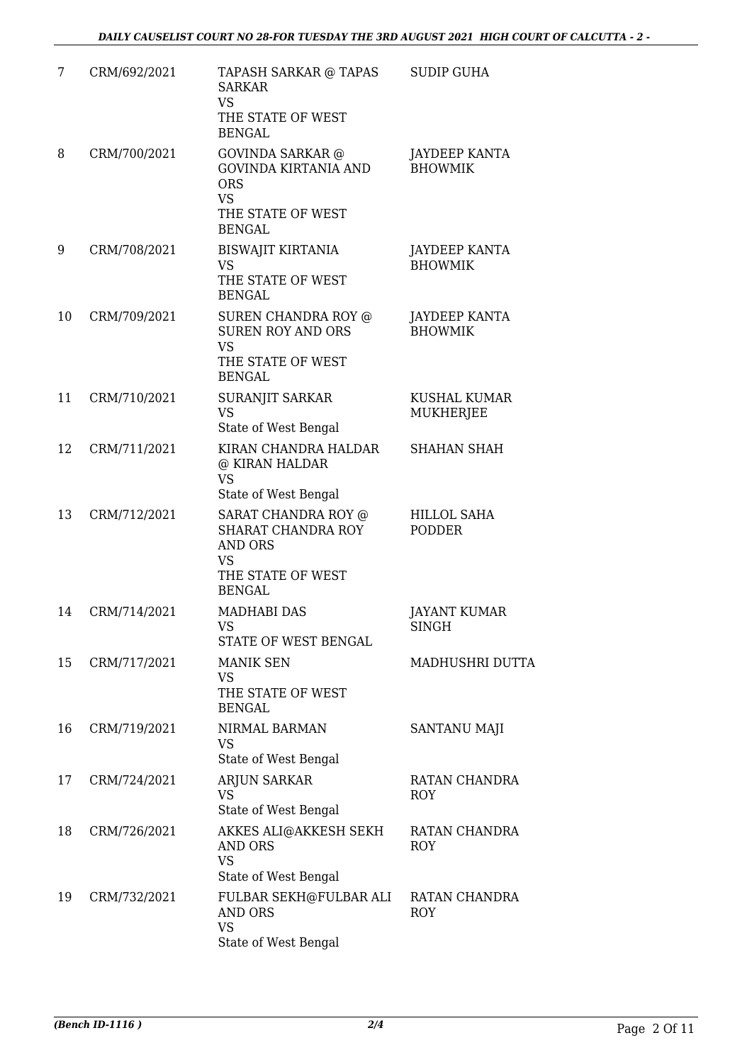| 7  | CRM/692/2021 | TAPASH SARKAR @ TAPAS<br><b>SARKAR</b><br><b>VS</b><br>THE STATE OF WEST<br><b>BENGAL</b>                               | <b>SUDIP GUHA</b>                       |
|----|--------------|-------------------------------------------------------------------------------------------------------------------------|-----------------------------------------|
| 8  | CRM/700/2021 | <b>GOVINDA SARKAR</b> @<br><b>GOVINDA KIRTANIA AND</b><br><b>ORS</b><br><b>VS</b><br>THE STATE OF WEST<br><b>BENGAL</b> | <b>JAYDEEP KANTA</b><br><b>BHOWMIK</b>  |
| 9  | CRM/708/2021 | <b>BISWAJIT KIRTANIA</b><br><b>VS</b><br>THE STATE OF WEST<br><b>BENGAL</b>                                             | JAYDEEP KANTA<br><b>BHOWMIK</b>         |
| 10 | CRM/709/2021 | SUREN CHANDRA ROY @<br><b>SUREN ROY AND ORS</b><br><b>VS</b><br>THE STATE OF WEST<br><b>BENGAL</b>                      | <b>JAYDEEP KANTA</b><br><b>BHOWMIK</b>  |
| 11 | CRM/710/2021 | SURANJIT SARKAR<br><b>VS</b><br>State of West Bengal                                                                    | <b>KUSHAL KUMAR</b><br><b>MUKHERJEE</b> |
| 12 | CRM/711/2021 | KIRAN CHANDRA HALDAR<br>@ KIRAN HALDAR<br><b>VS</b><br>State of West Bengal                                             | <b>SHAHAN SHAH</b>                      |
| 13 | CRM/712/2021 | SARAT CHANDRA ROY @<br>SHARAT CHANDRA ROY<br><b>AND ORS</b><br>VS<br>THE STATE OF WEST<br><b>BENGAL</b>                 | HILLOL SAHA<br><b>PODDER</b>            |
| 14 | CRM/714/2021 | MADHABI DAS<br>VS FOR THE VS<br>STATE OF WEST BENGAL                                                                    | <b>JAYANT KUMAR</b><br>SINGH            |
| 15 | CRM/717/2021 | <b>MANIK SEN</b><br><b>VS</b><br>THE STATE OF WEST<br><b>BENGAL</b>                                                     | MADHUSHRI DUTTA                         |
| 16 | CRM/719/2021 | NIRMAL BARMAN<br>VS<br>State of West Bengal                                                                             | SANTANU MAJI                            |
| 17 | CRM/724/2021 | <b>ARJUN SARKAR</b><br>VS<br>State of West Bengal                                                                       | RATAN CHANDRA<br><b>ROY</b>             |
| 18 | CRM/726/2021 | AKKES ALI@AKKESH SEKH<br><b>AND ORS</b><br><b>VS</b><br>State of West Bengal                                            | RATAN CHANDRA<br><b>ROY</b>             |
| 19 | CRM/732/2021 | FULBAR SEKH@FULBAR ALI<br>AND ORS<br><b>VS</b><br>State of West Bengal                                                  | RATAN CHANDRA<br><b>ROY</b>             |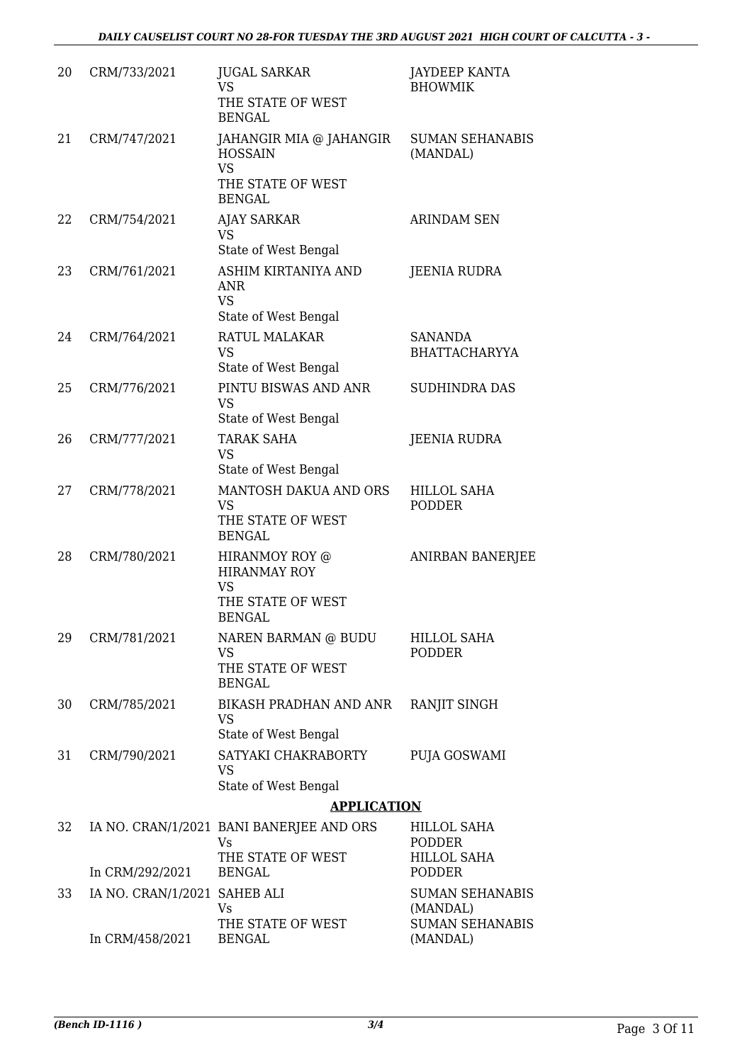| 20 | CRM/733/2021                 | <b>JUGAL SARKAR</b><br>VS<br>THE STATE OF WEST<br><b>BENGAL</b>                              | JAYDEEP KANTA<br><b>BHOWMIK</b>     |
|----|------------------------------|----------------------------------------------------------------------------------------------|-------------------------------------|
| 21 | CRM/747/2021                 | JAHANGIR MIA @ JAHANGIR<br><b>HOSSAIN</b><br><b>VS</b><br>THE STATE OF WEST<br><b>BENGAL</b> | <b>SUMAN SEHANABIS</b><br>(MANDAL)  |
| 22 | CRM/754/2021                 | <b>AJAY SARKAR</b><br>VS<br>State of West Bengal                                             | <b>ARINDAM SEN</b>                  |
| 23 | CRM/761/2021                 | ASHIM KIRTANIYA AND<br><b>ANR</b><br><b>VS</b><br>State of West Bengal                       | <b>JEENIA RUDRA</b>                 |
| 24 | CRM/764/2021                 | RATUL MALAKAR<br><b>VS</b><br>State of West Bengal                                           | SANANDA<br><b>BHATTACHARYYA</b>     |
| 25 | CRM/776/2021                 | PINTU BISWAS AND ANR<br><b>VS</b><br>State of West Bengal                                    | SUDHINDRA DAS                       |
| 26 | CRM/777/2021                 | <b>TARAK SAHA</b><br><b>VS</b><br>State of West Bengal                                       | <b>JEENIA RUDRA</b>                 |
| 27 | CRM/778/2021                 | MANTOSH DAKUA AND ORS<br>VS<br>THE STATE OF WEST<br><b>BENGAL</b>                            | <b>HILLOL SAHA</b><br><b>PODDER</b> |
| 28 | CRM/780/2021                 | HIRANMOY ROY @<br><b>HIRANMAY ROY</b><br>VS<br>THE STATE OF WEST<br><b>BENGAL</b>            | ANIRBAN BANERJEE                    |
| 29 | CRM/781/2021                 | NAREN BARMAN @ BUDU<br>VS<br>THE STATE OF WEST<br><b>BENGAL</b>                              | <b>HILLOL SAHA</b><br>PODDER        |
| 30 | CRM/785/2021                 | BIKASH PRADHAN AND ANR<br>VS<br>State of West Bengal                                         | RANJIT SINGH                        |
| 31 | CRM/790/2021                 | SATYAKI CHAKRABORTY<br><b>VS</b><br>State of West Bengal                                     | PUJA GOSWAMI                        |
|    |                              | <b>APPLICATION</b>                                                                           |                                     |
| 32 |                              | IA NO. CRAN/1/2021 BANI BANERJEE AND ORS<br>Vs                                               | <b>HILLOL SAHA</b><br>PODDER        |
|    | In CRM/292/2021              | THE STATE OF WEST<br><b>BENGAL</b>                                                           | <b>HILLOL SAHA</b><br><b>PODDER</b> |
| 33 | IA NO. CRAN/1/2021 SAHEB ALI | Vs                                                                                           | <b>SUMAN SEHANABIS</b><br>(MANDAL)  |
|    | In CRM/458/2021              | THE STATE OF WEST<br><b>BENGAL</b>                                                           | <b>SUMAN SEHANABIS</b><br>(MANDAL)  |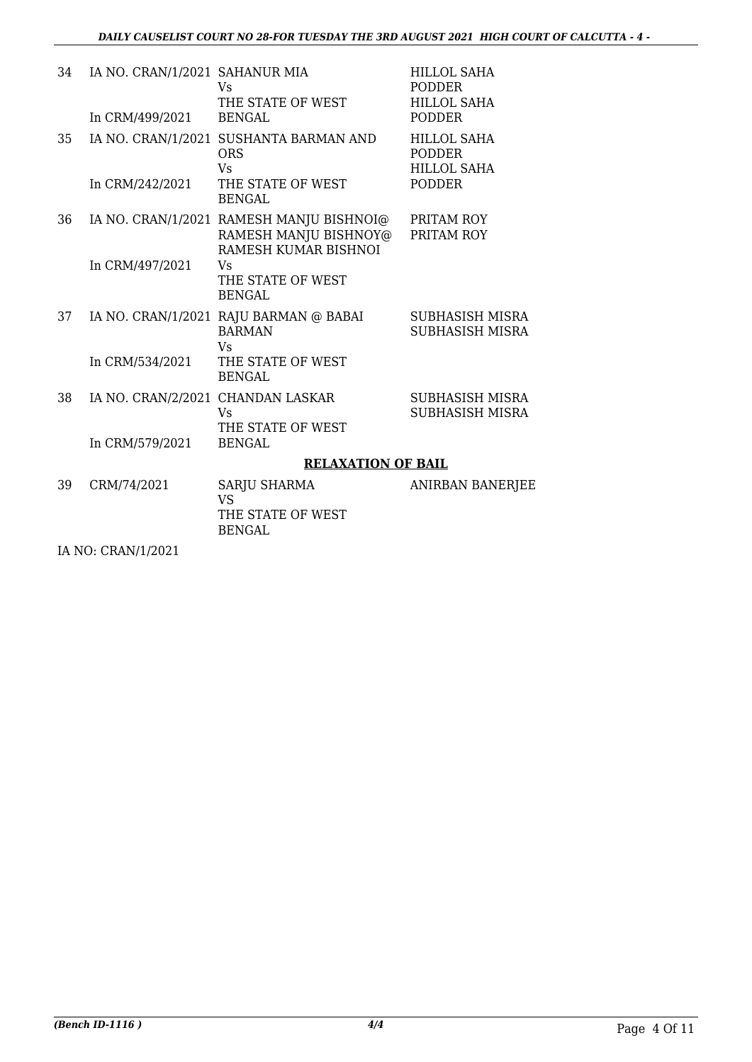| 34 | IA NO. CRAN/1/2021 SAHANUR MIA                                                                                                                                                                                                                                                                                                                                                                                            | Vs<br>THE STATE OF WEST                                                                   | <b>HILLOL SAHA</b><br><b>PODDER</b><br><b>HILLOL SAHA</b> |
|----|---------------------------------------------------------------------------------------------------------------------------------------------------------------------------------------------------------------------------------------------------------------------------------------------------------------------------------------------------------------------------------------------------------------------------|-------------------------------------------------------------------------------------------|-----------------------------------------------------------|
|    | In CRM/499/2021                                                                                                                                                                                                                                                                                                                                                                                                           | <b>BENGAL</b>                                                                             | <b>PODDER</b>                                             |
| 35 |                                                                                                                                                                                                                                                                                                                                                                                                                           | IA NO. CRAN/1/2021 SUSHANTA BARMAN AND<br><b>ORS</b><br><b>Vs</b>                         | <b>HILLOL SAHA</b><br><b>PODDER</b><br><b>HILLOL SAHA</b> |
|    | In CRM/242/2021                                                                                                                                                                                                                                                                                                                                                                                                           | THE STATE OF WEST<br><b>BENGAL</b>                                                        | <b>PODDER</b>                                             |
| 36 |                                                                                                                                                                                                                                                                                                                                                                                                                           | IA NO. CRAN/1/2021 RAMESH MANJU BISHNOI@<br>RAMESH MANJU BISHNOY@<br>RAMESH KUMAR BISHNOI | PRITAM ROY<br>PRITAM ROY                                  |
|    | In CRM/497/2021                                                                                                                                                                                                                                                                                                                                                                                                           | Vs<br>THE STATE OF WEST<br><b>BENGAL</b>                                                  |                                                           |
| 37 |                                                                                                                                                                                                                                                                                                                                                                                                                           | IA NO. CRAN/1/2021 RAJU BARMAN @ BABAI<br><b>BARMAN</b><br><b>Vs</b>                      | SUBHASISH MISRA<br><b>SUBHASISH MISRA</b>                 |
|    | In CRM/534/2021                                                                                                                                                                                                                                                                                                                                                                                                           | THE STATE OF WEST<br><b>BENGAL</b>                                                        |                                                           |
| 38 | IA NO. CRAN/2/2021 CHANDAN LASKAR                                                                                                                                                                                                                                                                                                                                                                                         | <b>V<sub>S</sub></b><br>THE STATE OF WEST                                                 | SUBHASISH MISRA<br><b>SUBHASISH MISRA</b>                 |
|    | In CRM/579/2021                                                                                                                                                                                                                                                                                                                                                                                                           | <b>BENGAL</b>                                                                             |                                                           |
|    |                                                                                                                                                                                                                                                                                                                                                                                                                           | <b>RELAXATION OF BAIL</b>                                                                 |                                                           |
| 39 | CRM/74/2021                                                                                                                                                                                                                                                                                                                                                                                                               | <b>SARJU SHARMA</b><br><b>VS</b><br>THE STATE OF WEST<br><b>BENGAL</b>                    | <b>ANIRBAN BANERJEE</b>                                   |
|    | $T_A$ $\overline{A}$ $\overline{C}$ $\overline{C}$ $\overline{D}$ $\overline{A}$ $\overline{A}$ $\overline{I}$ $\overline{I}$ $\overline{I}$ $\overline{I}$ $\overline{I}$ $\overline{I}$ $\overline{I}$ $\overline{I}$ $\overline{I}$ $\overline{I}$ $\overline{I}$ $\overline{I}$ $\overline{I}$ $\overline{I}$ $\overline{I}$ $\overline{I}$ $\overline{I}$ $\overline{I}$ $\overline{I}$ $\overline{I}$ $\overline{I$ |                                                                                           |                                                           |

IA NO: CRAN/1/2021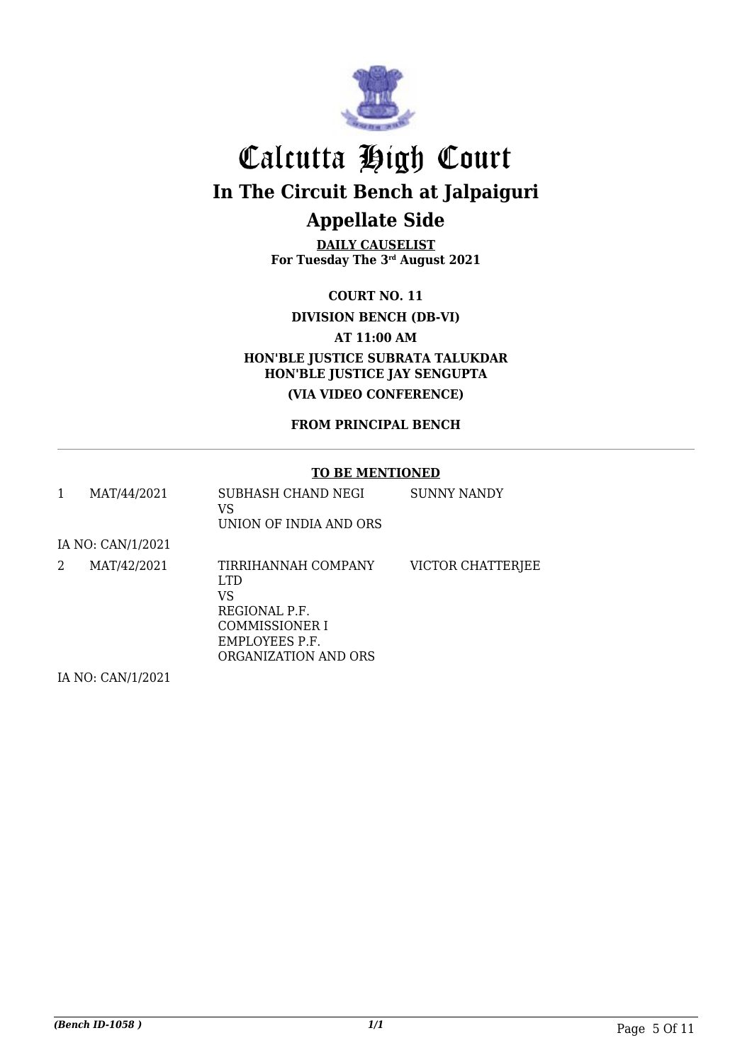

**DAILY CAUSELIST For Tuesday The 3rd August 2021**

**COURT NO. 11**

#### **DIVISION BENCH (DB-VI)**

**AT 11:00 AM**

**HON'BLE JUSTICE SUBRATA TALUKDAR HON'BLE JUSTICE JAY SENGUPTA (VIA VIDEO CONFERENCE)**

#### **FROM PRINCIPAL BENCH**

#### **TO BE MENTIONED**

| 1 | MAT/44/2021       | SUBHASH CHAND NEGI<br>VS<br>UNION OF INDIA AND ORS                                                             | SUNNY NANDY       |
|---|-------------------|----------------------------------------------------------------------------------------------------------------|-------------------|
|   | IA NO: CAN/1/2021 |                                                                                                                |                   |
| 2 | MAT/42/2021       | TIRRIHANNAH COMPANY<br>LTD.<br>VS<br>REGIONAL P.F.<br>COMMISSIONER I<br>EMPLOYEES P.F.<br>ORGANIZATION AND ORS | VICTOR CHATTERJEE |
|   | IA NO: CAN/1/2021 |                                                                                                                |                   |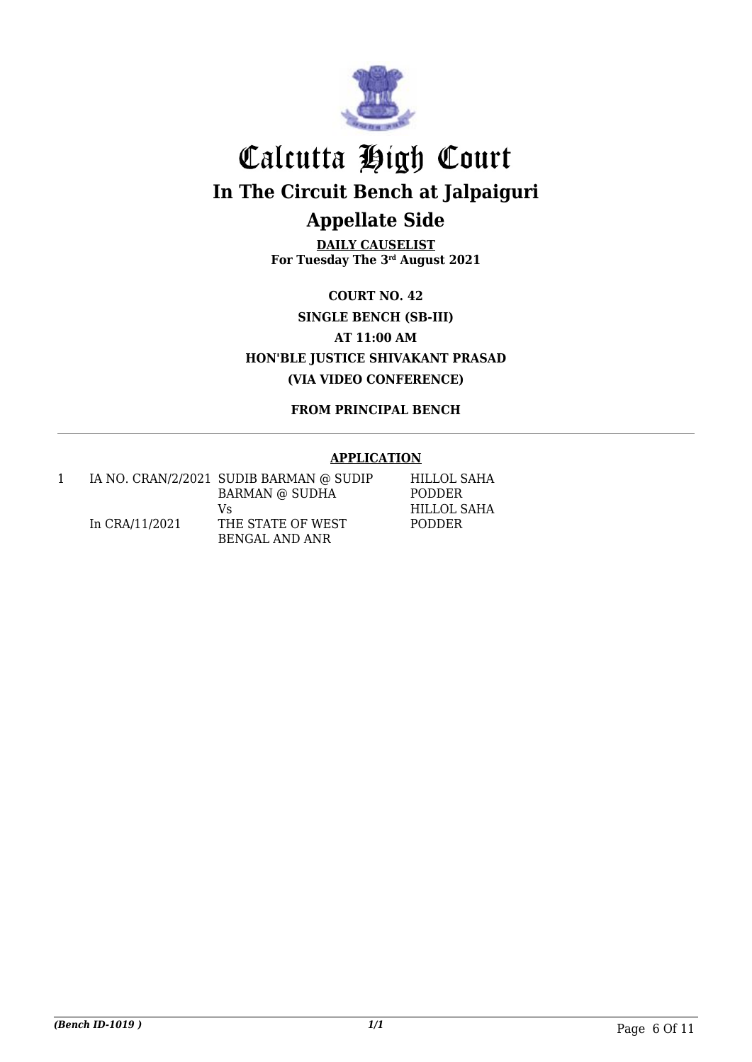

**DAILY CAUSELIST For Tuesday The 3rd August 2021**

**COURT NO. 42 SINGLE BENCH (SB-III) AT 11:00 AM HON'BLE JUSTICE SHIVAKANT PRASAD (VIA VIDEO CONFERENCE)**

**FROM PRINCIPAL BENCH**

#### **APPLICATION**

|                | IA NO. CRAN/2/2021 SUDIB BARMAN @ SUDIP | HILLOL SAHA   |
|----------------|-----------------------------------------|---------------|
|                | <b>BARMAN @ SUDHA</b>                   | <b>PODDER</b> |
|                | Vs                                      | HILLOL SAHA   |
| In CRA/11/2021 | THE STATE OF WEST                       | <b>PODDER</b> |
|                | BENGAL AND ANR                          |               |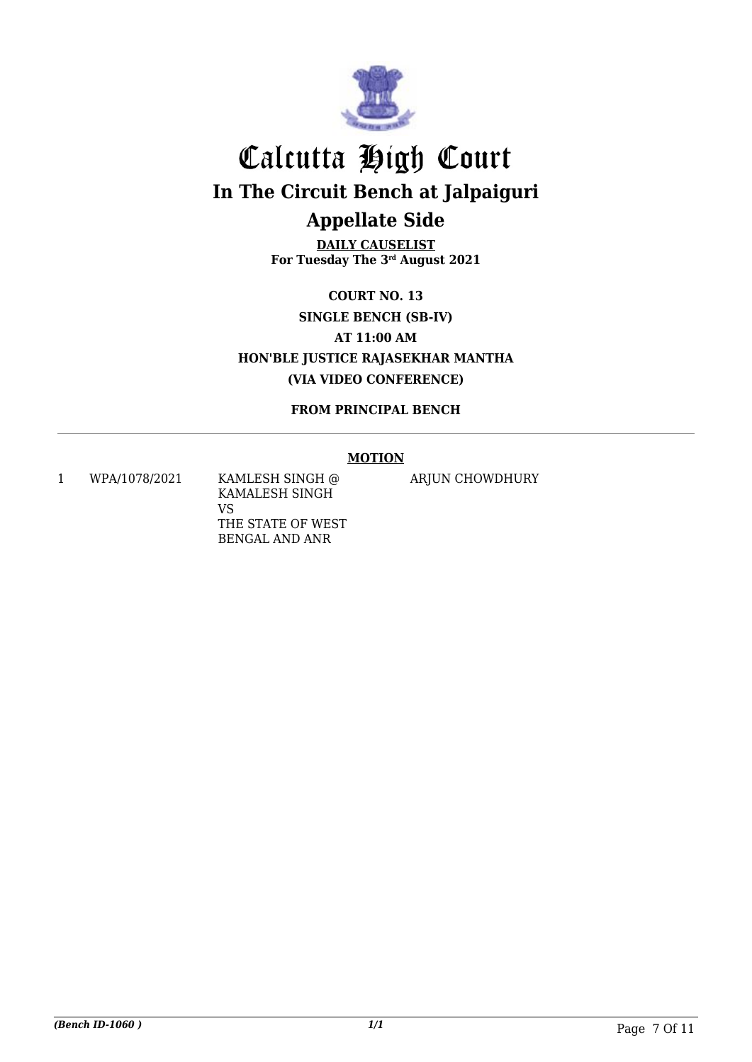

**DAILY CAUSELIST For Tuesday The 3rd August 2021**

**COURT NO. 13 SINGLE BENCH (SB-IV) AT 11:00 AM HON'BLE JUSTICE RAJASEKHAR MANTHA (VIA VIDEO CONFERENCE)**

**FROM PRINCIPAL BENCH**

#### **MOTION**

1 WPA/1078/2021 KAMLESH SINGH @ KAMALESH SINGH VS THE STATE OF WEST BENGAL AND ANR

ARJUN CHOWDHURY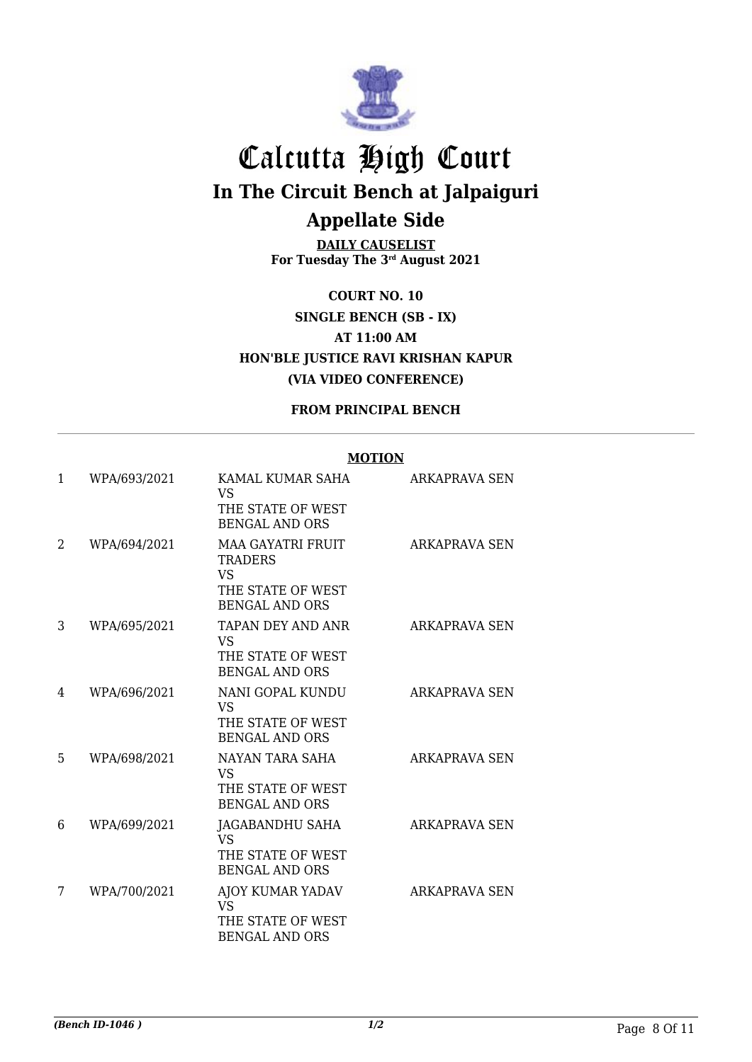

**DAILY CAUSELIST For Tuesday The 3rd August 2021**

**COURT NO. 10 SINGLE BENCH (SB - IX) AT 11:00 AM HON'BLE JUSTICE RAVI KRISHAN KAPUR (VIA VIDEO CONFERENCE)**

#### **FROM PRINCIPAL BENCH**

#### **MOTION**

| 1  | WPA/693/2021 | KAMAL KUMAR SAHA<br><b>VS</b><br>THE STATE OF WEST<br><b>BENGAL AND ORS</b>                           | ARKAPRAVA SEN        |
|----|--------------|-------------------------------------------------------------------------------------------------------|----------------------|
| 2  | WPA/694/2021 | <b>MAA GAYATRI FRUIT</b><br><b>TRADERS</b><br><b>VS</b><br>THE STATE OF WEST<br><b>BENGAL AND ORS</b> | <b>ARKAPRAVA SEN</b> |
| 3  | WPA/695/2021 | TAPAN DEY AND ANR<br><b>VS</b><br>THE STATE OF WEST<br><b>BENGAL AND ORS</b>                          | <b>ARKAPRAVA SEN</b> |
| 4  | WPA/696/2021 | NANI GOPAL KUNDU<br><b>VS</b><br>THE STATE OF WEST<br><b>BENGAL AND ORS</b>                           | ARKAPRAVA SEN        |
| 5. | WPA/698/2021 | NAYAN TARA SAHA<br><b>VS</b><br>THE STATE OF WEST<br><b>BENGAL AND ORS</b>                            | ARKAPRAVA SEN        |
| 6  | WPA/699/2021 | JAGABANDHU SAHA<br><b>VS</b><br>THE STATE OF WEST<br><b>BENGAL AND ORS</b>                            | <b>ARKAPRAVA SEN</b> |
| 7  | WPA/700/2021 | AJOY KUMAR YADAV<br><b>VS</b><br>THE STATE OF WEST<br><b>BENGAL AND ORS</b>                           | ARKAPRAVA SEN        |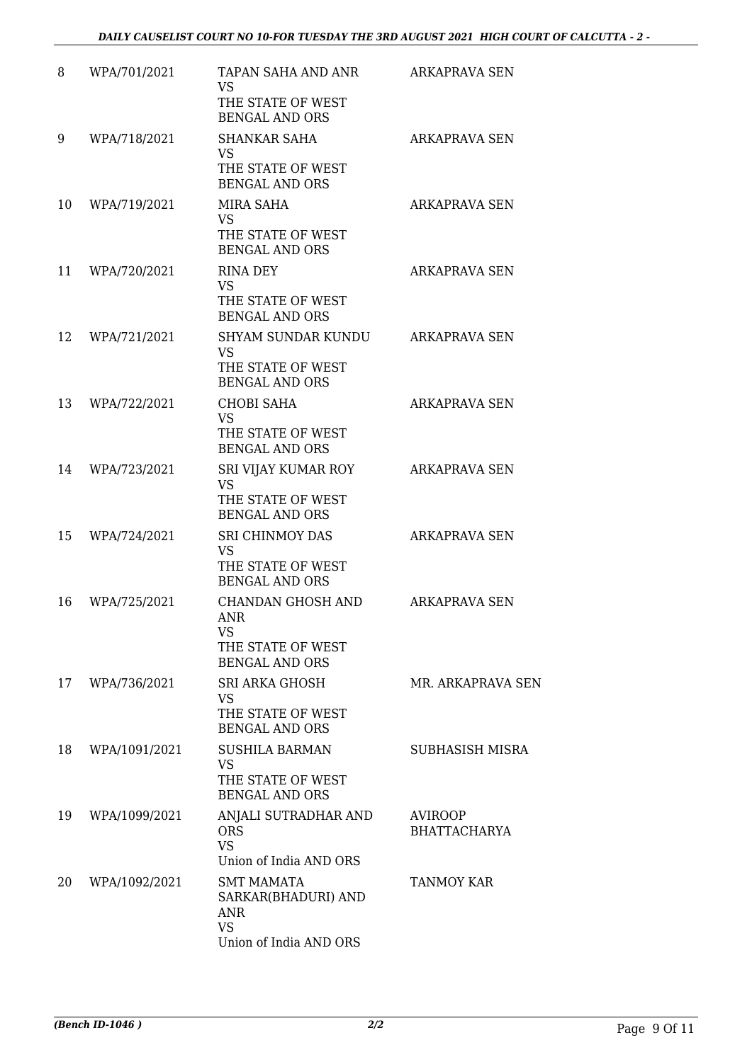| 8  | WPA/701/2021  | TAPAN SAHA AND ANR                                                                            | ARKAPRAVA SEN                  |
|----|---------------|-----------------------------------------------------------------------------------------------|--------------------------------|
|    |               | <b>VS</b><br>THE STATE OF WEST<br><b>BENGAL AND ORS</b>                                       |                                |
| 9  | WPA/718/2021  | <b>SHANKAR SAHA</b><br><b>VS</b><br>THE STATE OF WEST<br><b>BENGAL AND ORS</b>                | <b>ARKAPRAVA SEN</b>           |
| 10 | WPA/719/2021  | MIRA SAHA<br><b>VS</b><br>THE STATE OF WEST<br><b>BENGAL AND ORS</b>                          | ARKAPRAVA SEN                  |
| 11 | WPA/720/2021  | <b>RINA DEY</b><br><b>VS</b><br>THE STATE OF WEST<br><b>BENGAL AND ORS</b>                    | <b>ARKAPRAVA SEN</b>           |
| 12 | WPA/721/2021  | <b>SHYAM SUNDAR KUNDU</b><br><b>VS</b><br>THE STATE OF WEST<br><b>BENGAL AND ORS</b>          | ARKAPRAVA SEN                  |
| 13 | WPA/722/2021  | <b>CHOBI SAHA</b><br><b>VS</b><br>THE STATE OF WEST<br><b>BENGAL AND ORS</b>                  | <b>ARKAPRAVA SEN</b>           |
| 14 | WPA/723/2021  | SRI VIJAY KUMAR ROY<br><b>VS</b><br>THE STATE OF WEST<br><b>BENGAL AND ORS</b>                | <b>ARKAPRAVA SEN</b>           |
| 15 | WPA/724/2021  | <b>SRI CHINMOY DAS</b><br><b>VS</b><br>THE STATE OF WEST<br><b>BENGAL AND ORS</b>             | <b>ARKAPRAVA SEN</b>           |
| 16 | WPA/725/2021  | CHANDAN GHOSH AND<br><b>ANR</b><br><b>VS</b><br>THE STATE OF WEST<br><b>BENGAL AND ORS</b>    | ARKAPRAVA SEN                  |
| 17 | WPA/736/2021  | SRI ARKA GHOSH<br>VS<br>THE STATE OF WEST<br><b>BENGAL AND ORS</b>                            | MR. ARKAPRAVA SEN              |
| 18 | WPA/1091/2021 | <b>SUSHILA BARMAN</b><br><b>VS</b><br>THE STATE OF WEST<br><b>BENGAL AND ORS</b>              | <b>SUBHASISH MISRA</b>         |
| 19 | WPA/1099/2021 | ANJALI SUTRADHAR AND<br><b>ORS</b><br><b>VS</b><br>Union of India AND ORS                     | AVIROOP<br><b>BHATTACHARYA</b> |
| 20 | WPA/1092/2021 | <b>SMT MAMATA</b><br>SARKAR(BHADURI) AND<br><b>ANR</b><br><b>VS</b><br>Union of India AND ORS | TANMOY KAR                     |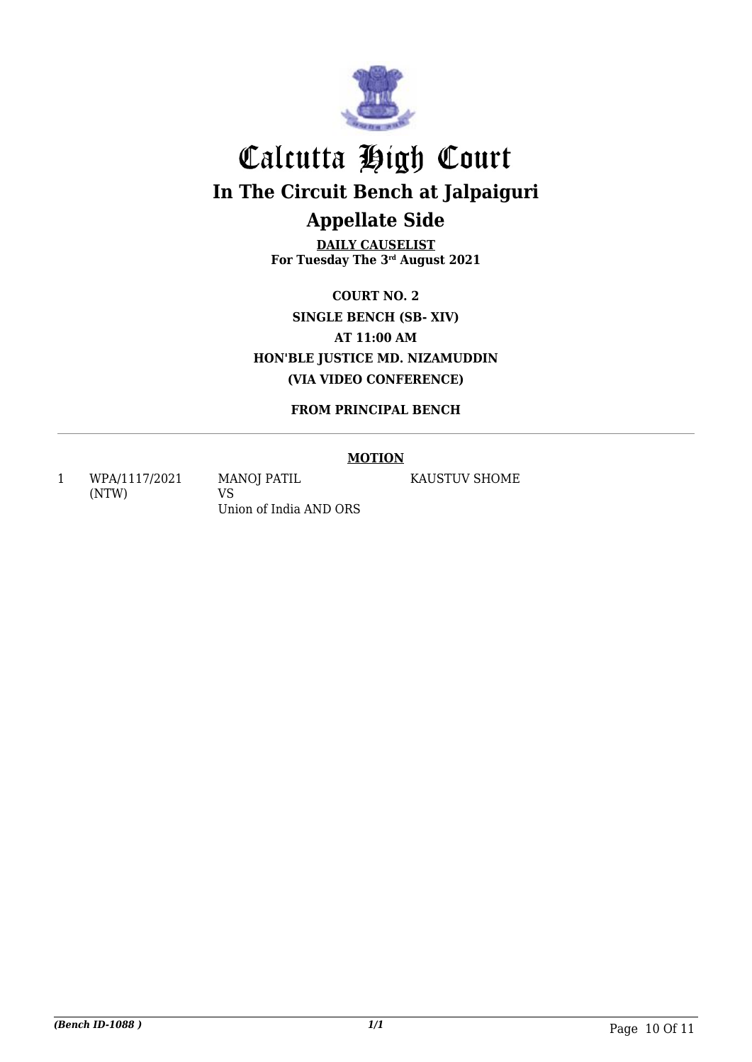

**DAILY CAUSELIST For Tuesday The 3rd August 2021**

**COURT NO. 2 SINGLE BENCH (SB- XIV) AT 11:00 AM HON'BLE JUSTICE MD. NIZAMUDDIN (VIA VIDEO CONFERENCE)**

**FROM PRINCIPAL BENCH**

#### **MOTION**

1 WPA/1117/2021 (NTW)

MANOJ PATIL VS Union of India AND ORS KAUSTUV SHOME